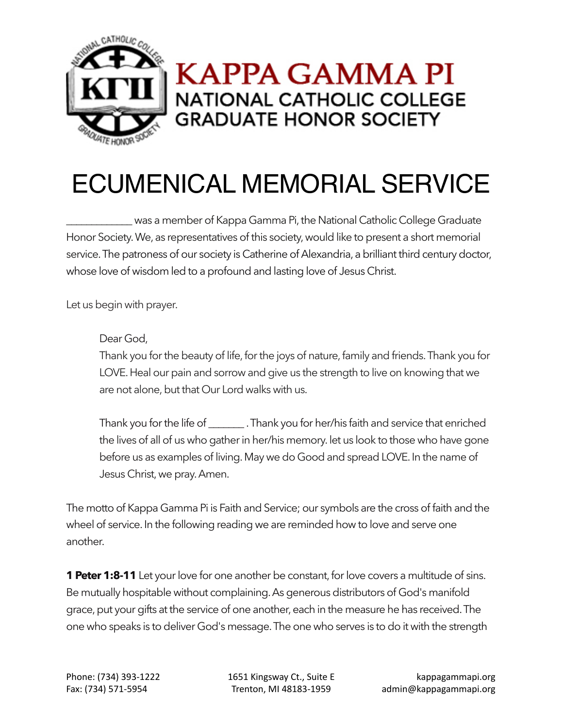

## ECUMENICAL MEMORIAL SERVICE

\_\_\_\_\_\_\_\_\_\_\_\_\_ was a member of Kappa Gamma Pi, the National Catholic College Graduate Honor Society. We, as representatives of this society, would like to present a short memorial service. The patroness of our society is Catherine of Alexandria, a brilliant third century doctor, whose love of wisdom led to a profound and lasting love of Jesus Christ.

Let us begin with prayer.

## Dear God,

Thank you for the beauty of life, for the joys of nature, family and friends. Thank you for LOVE. Heal our pain and sorrow and give us the strength to live on knowing that we are not alone, but that Our Lord walks with us.

Thank you for the life of \_\_\_\_\_\_\_ . Thank you for her/his faith and service that enriched the lives of all of us who gather in her/his memory. let us look to those who have gone before us as examples of living.May we do Good and spread LOVE. In the name of Jesus Christ, we pray. Amen.

The motto of Kappa Gamma Pi is Faith and Service; our symbols are the cross of faith and the wheel of service. In the following reading we are reminded how to love and serve one another.

**1 Peter 1:8-11** Let your love for one another be constant, for love covers a multitude of sins. Be mutually hospitable without complaining. As generous distributors of God's manifold grace, put your gifts at the service of one another, each in the measure he has received. The one who speaks is to deliver God's message. The one who serves is to do it with the strength